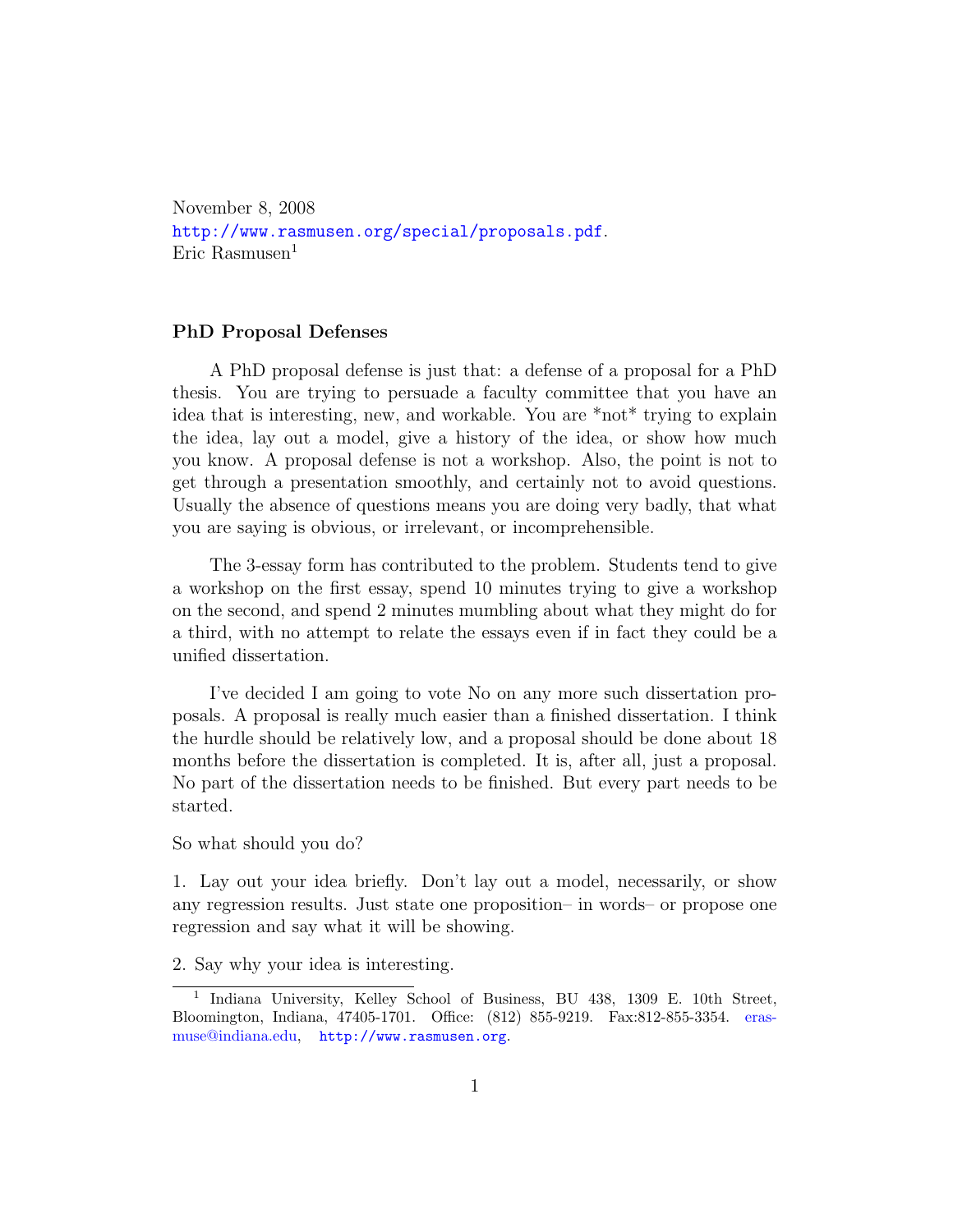November 8, 2008 <http://www.rasmusen.org/special/proposals.pdf>. Eric Rasmusen $<sup>1</sup>$  $<sup>1</sup>$  $<sup>1</sup>$ </sup>

## PhD Proposal Defenses

A PhD proposal defense is just that: a defense of a proposal for a PhD thesis. You are trying to persuade a faculty committee that you have an idea that is interesting, new, and workable. You are \*not\* trying to explain the idea, lay out a model, give a history of the idea, or show how much you know. A proposal defense is not a workshop. Also, the point is not to get through a presentation smoothly, and certainly not to avoid questions. Usually the absence of questions means you are doing very badly, that what you are saying is obvious, or irrelevant, or incomprehensible.

The 3-essay form has contributed to the problem. Students tend to give a workshop on the first essay, spend 10 minutes trying to give a workshop on the second, and spend 2 minutes mumbling about what they might do for a third, with no attempt to relate the essays even if in fact they could be a unified dissertation.

I've decided I am going to vote No on any more such dissertation proposals. A proposal is really much easier than a finished dissertation. I think the hurdle should be relatively low, and a proposal should be done about 18 months before the dissertation is completed. It is, after all, just a proposal. No part of the dissertation needs to be finished. But every part needs to be started.

So what should you do?

1. Lay out your idea briefly. Don't lay out a model, necessarily, or show any regression results. Just state one proposition– in words– or propose one regression and say what it will be showing.

2. Say why your idea is interesting.

<span id="page-0-0"></span><sup>&</sup>lt;sup>1</sup> Indiana University, Kelley School of Business, BU 438, 1309 E. 10th Street, Bloomington, Indiana, 47405-1701. Office: (812) 855-9219. Fax:812-855-3354. [eras](mailto:erasmuse@indiana.edu)[muse@indiana.edu,](mailto:erasmuse@indiana.edu) <http://www.rasmusen.org>.